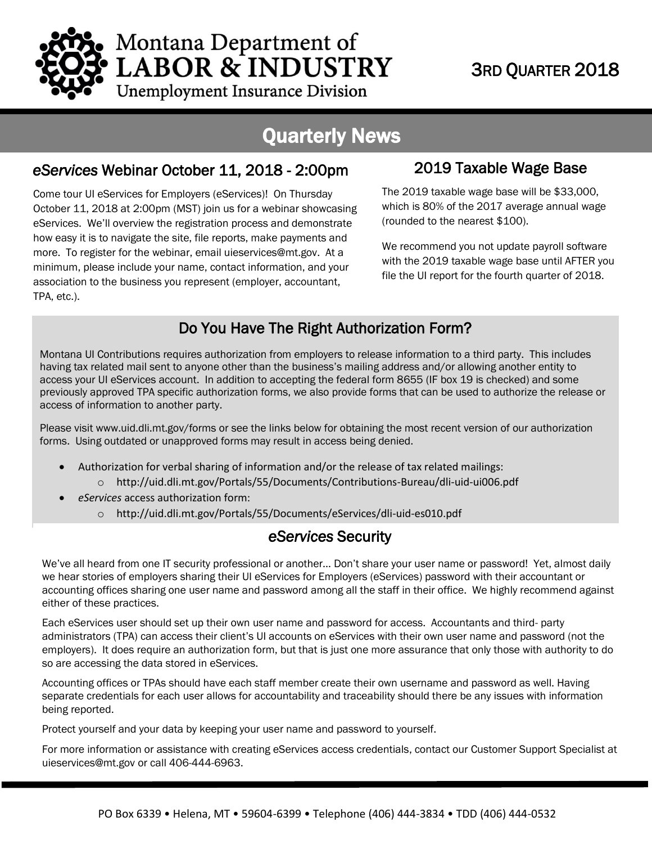

# Montana Department of **LABOR & INDUSTRY**

### 3RD QUARTER 2018

**Unemployment Insurance Division** 

## Quarterly N*e*ws

#### *eServices* Webinar October 11, 2018 - 2:00pm

 more. To register for the webinar, emai[l uieservices@mt.gov.](mailto:uieservices@mt.gov) At a Come tour UI eServices for Employers (eServices)! On Thursday Come tour UI eServices for Employers (eServices)! On Thursday<br>October 11, 2018 at 2:00pm (MST) join us for a webinar showcasing eServices. We'll overview the registration process and demonstrate how easy it is to navigate the site, file reports, make payments and minimum, please include your name, contact information, and your association to the business you represent (employer, accountant, TPA, etc.).

#### 2019 Taxable Wage Base

The 2019 taxable wage base will be \$33,000, which is 80% of the 2017 average annual wage (rounded to the nearest \$100).

We recommend you not update payroll software with the 2019 taxable wage base until AFTER you file the UI report for the fourth quarter of 2018.

#### Do You Have The Right Authorization Form?

Montana UI Contributions requires authorization from employers to release information to a third party. This includes having tax related mail sent to anyone other than the business's mailing address and/or allowing another entity to access your UI eServices account. In addition to accepting the federal form 8655 (IF box 19 is checked) and some previously approved TPA specific authorization forms, we also provide forms that can be used to authorize the release or access of information to another party.

Please visit [www.uid.dli.mt.gov/forms](http://www.uid.dli.mt.gov/forms) or see the links below for obtaining the most recent version of our authorization forms. Using outdated or unapproved forms may result in access being denied.

- Authorization for verbal sharing of information and/or the release of tax related mailings:
	- o <http://uid.dli.mt.gov/Portals/55/Documents/Contributions-Bureau/dli-uid-ui006.pdf>
- *eServices* access authorization form:
	- o <http://uid.dli.mt.gov/Portals/55/Documents/eServices/dli-uid-es010.pdf>

#### *eServices* Security

We've all heard from one IT security professional or another... Don't share your user name or password! Yet, almost daily we hear stories of employers sharing their UI eServices for Employers (eServices) password with their accountant or accounting offices sharing one user name and password among all the staff in their office. We highly recommend against either of these practices.

Each eServices user should set up their own user name and password for access. Accountants and third- party administrators (TPA) can access their client's UI accounts on eServices with their own user name and password (not the employers). It does require an authorization form, but that is just one more assurance that only those with authority to do so are accessing the data stored in eServices.

Accounting offices or TPAs should have each staff member create their own username and password as well. Having separate credentials for each user allows for accountability and traceability should there be any issues with information being reported.

Protect yourself and your data by keeping your user name and password to yourself.

For more information or assistance with creating eServices access credentials, contact our Customer Support Specialist at [uieservices@mt.gov](mailto:uieservices@mt.gov) or call 406-444-6963.